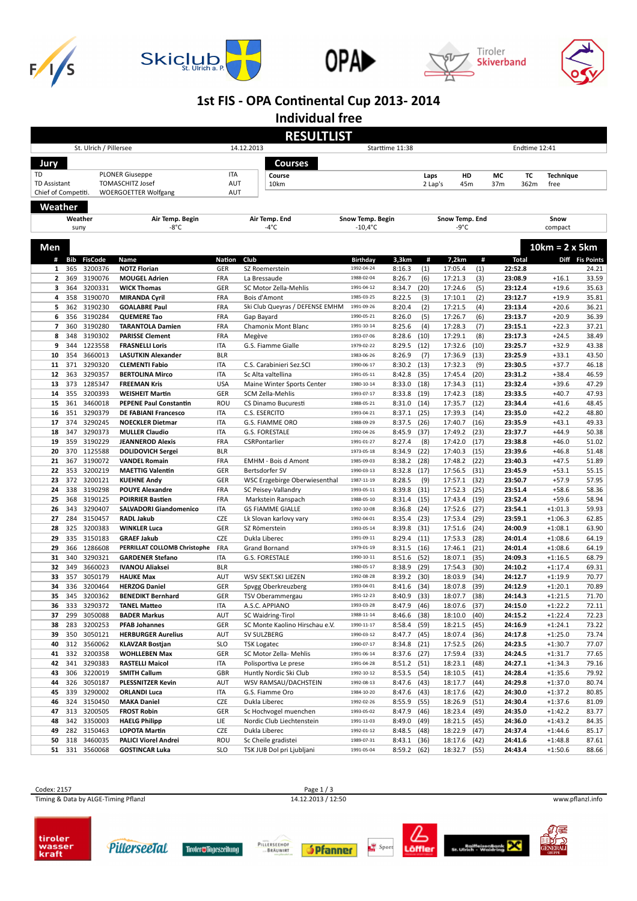









## 1st FIS - OPA Continental Cup 2013-2014

**Individual free RESULTLIST**

|                          |            | St. Ulrich / Pillersee |                                                      |                                                          | <b>KESULILISI</b><br>14.12.2013                      |                          | Endtime 12:41              |                 |                              |              |                         |                          |                 |
|--------------------------|------------|------------------------|------------------------------------------------------|----------------------------------------------------------|------------------------------------------------------|--------------------------|----------------------------|-----------------|------------------------------|--------------|-------------------------|--------------------------|-----------------|
| Jury                     |            |                        |                                                      |                                                          | Courses                                              |                          | Starttime 11:38            |                 |                              |              |                         |                          |                 |
| TD                       |            |                        | <b>PLONER Giuseppe</b>                               | <b>ITA</b>                                               |                                                      |                          |                            |                 |                              |              |                         |                          |                 |
| <b>TD Assistant</b>      |            |                        | TOMASCHITZ Josef                                     | AUT                                                      | Course<br>10km                                       |                          |                            | Laps<br>2 Lap's | HD<br>45m                    |              | МC<br>TC<br>362m<br>37m | <b>Technique</b><br>free |                 |
| Chief of Competiti.      |            |                        | <b>WOERGOETTER Wolfgang</b>                          | AUT                                                      |                                                      |                          |                            |                 |                              |              |                         |                          |                 |
| Weather                  |            |                        |                                                      |                                                          |                                                      |                          |                            |                 |                              |              |                         |                          |                 |
|                          |            | Weather                | Air Temp. Begin                                      |                                                          | Air Temp. End                                        | Snow Temp. Begin         |                            |                 | Snow Temp. End               |              |                         | Snow                     |                 |
| suny                     |            | -8°C                   | -4°C                                                 |                                                          | $-10,4^{\circ}$ C                                    |                          | -9°C                       |                 |                              | compact      |                         |                          |                 |
|                          |            |                        |                                                      |                                                          |                                                      |                          |                            |                 |                              |              |                         |                          |                 |
|                          | Men        |                        |                                                      |                                                          |                                                      |                          |                            |                 |                              |              | $10km = 2x$ 5 km        |                          |                 |
| #                        |            | <b>Bib FisCode</b>     | Name                                                 | Nation                                                   | Club                                                 | Birthday                 | 3,3km                      | #               | 7,2km                        | #            | Total                   |                          | Diff Fis Points |
| 1<br>$\overline{2}$      | 365<br>369 | 3200376<br>3190076     | <b>NOTZ Florian</b><br><b>MOUGEL Adrien</b>          | GER<br><b>FRA</b>                                        | SZ Roemerstein<br>La Bressaude                       | 1992-04-24<br>1988-02-04 | 8:16.3<br>8:26.7           | (1)<br>(6)      | 17:05.4<br>17:21.3           | (1)<br>(3)   | 22:52.8<br>23:08.9      | $+16.1$                  | 24.21<br>33.59  |
| з                        | 364        | 3200331                | <b>WICK Thomas</b>                                   | GER                                                      | SC Motor Zella-Mehlis                                | 1991-04-12               | 8:34.7                     | (20)            | 17:24.6                      | (5)          | 23:12.4                 | $+19.6$                  | 35.63           |
| 4                        | 358        | 3190070                | <b>MIRANDA Cyril</b>                                 | <b>FRA</b>                                               | Bois d'Amont                                         | 1985-03-25               | 8:22.5                     | (3)             | 17:10.1                      | (2)          | 23:12.7                 | $+19.9$                  | 35.81           |
| 5                        | 362        | 3190230                | <b>GOALABRE Paul</b>                                 | <b>FRA</b>                                               | Ski Club Queyras / DEFENSE EMHM                      | 1991-09-26               | 8:20.4                     | (2)             | 17:21.5                      | (4)          | 23:13.4                 | $+20.6$                  | 36.21           |
| 6                        | 356        | 3190284                | <b>QUEMERE Tao</b>                                   | <b>FRA</b>                                               | Gap Bayard                                           |                          | 8:26.0                     | (5)             | 17:26.7                      | (6)          | 23:13.7                 | $+20.9$                  | 36.39           |
| $\overline{\phantom{a}}$ | 360        | 3190280                | <b>TARANTOLA Damien</b>                              | <b>FRA</b>                                               | Chamonix Mont Blanc                                  | 1991-10-14               | 8:25.6                     | (4)             | 17:28.3                      | (7)          | 23:15.1                 | $+22.3$                  | 37.21           |
| 8<br>9                   | 348<br>344 | 3190302<br>1223558     | <b>PARISSE Clement</b><br><b>FRASNELLI Loris</b>     | <b>FRA</b><br>Megève<br><b>ITA</b><br>G.S. Fiamme Gialle |                                                      | 1993-07-06<br>1979-02-22 | 8:28.6<br>8:29.5           | (10)<br>(12)    | 17:29.1<br>17:32.6           | (8)<br>(10)  | 23:17.3<br>23:25.7      | $+24.5$<br>$+32.9$       | 38.49<br>43.38  |
| 10                       | 354        | 3660013                | <b>LASUTKIN Alexander</b>                            | <b>BLR</b>                                               |                                                      | 1983-06-26               | 8:26.9                     | (7)             | 17:36.9                      | (13)         | 23:25.9                 | $+33.1$                  | 43.50           |
| 11                       | 371        | 3290320                | <b>CLEMENTI Fabio</b>                                | <b>ITA</b>                                               | C.S. Carabinieri Sez.SCI                             |                          | 8:30.2                     | (13)            | 17:32.3                      | (9)          | 23:30.5                 | $+37.7$                  | 46.18           |
| 12                       | 363        | 3290357                | <b>BERTOLINA Mirco</b>                               | <b>ITA</b>                                               | Sc Alta valtellina                                   | 1991-05-11               | 8:42.8                     | (35)            | 17:45.4                      | (20)         | 23:31.2                 | $+38.4$                  | 46.59           |
| 13                       | 373        | 1285347                | <b>FREEMAN Kris</b>                                  | <b>USA</b>                                               | Maine Winter Sports Center                           | 1980-10-14               | 8:33.0                     | (18)            | 17:34.3                      | (11)         | 23:32.4                 | $+39.6$                  | 47.29           |
| 14                       | 355        | 3200393                | <b>WEISHEIT Martin</b>                               | GER                                                      | SCM Zella-Mehlis                                     | 1993-07-17               | 8:33.8                     | (19)            | 17:42.3                      | (18)         | 23:33.5                 | $+40.7$                  | 47.93           |
| 15                       | 361        | 3460018                | <b>PEPENE Paul Constantin</b>                        | ROU                                                      | CS Dinamo Bucuresti                                  | 1988-05-21               | 8:31.0                     | (14)            | 17:35.7                      | (12)         | 23:34.4                 | $+41.6$                  | 48.45           |
| 16<br>17                 | 351<br>374 | 3290379<br>3290245     | DE FABIANI Francesco<br><b>NOECKLER Dietmar</b>      | <b>ITA</b><br><b>ITA</b>                                 | C.S. ESERCITO<br>G.S. FIAMME ORO                     | 1993-04-21<br>1988-09-29 | 8:37.1<br>8:37.5           | (25)<br>(26)    | 17:39.3<br>17:40.7 (16)      | (14)         | 23:35.0<br>23:35.9      | $+42.2$<br>$+43.1$       | 48.80<br>49.33  |
| 18                       | 347        | 3290373                | <b>MULLER Claudio</b>                                | <b>ITA</b>                                               | <b>G.S. FORESTALE</b>                                | 1992-04-26               | 8:45.9                     | (37)            | 17:49.2                      | (23)         | 23:37.7                 | $+44.9$                  | 50.38           |
| 19                       | 359        | 3190229                | <b>JEANNEROD Alexis</b>                              | <b>FRA</b>                                               | CSRPontarlier                                        | 1991-01-27               | 8:27.4                     | (8)             | 17:42.0                      | (17)         | 23:38.8                 | $+46.0$                  | 51.02           |
| 20                       | 370        | 1125588                | <b>DOLIDOVICH Sergei</b>                             | <b>BLR</b>                                               |                                                      | 1973-05-18               | 8:34.9                     | (22)            | 17:40.3 (15)                 |              | 23:39.6                 | $+46.8$                  | 51.48           |
| 21                       | 367        | 3190072                | <b>VANDEL Romain</b>                                 | <b>FRA</b>                                               | <b>EMHM - Bois d Amont</b>                           | 1985-09-03               | 8:38.2                     | (28)            | 17:48.2                      | (22)         | 23:40.3                 | $+47.5$                  | 51.89           |
| 22                       | 353        | 3200219                | <b>MAETTIG Valentin</b>                              | GER                                                      | Bertsdorfer SV                                       | 1990-03-13               | 8:32.8                     | (17)            | 17:56.5                      | (31)         | 23:45.9                 | $+53.1$                  | 55.15           |
| 23<br>24                 | 372<br>338 | 3200121<br>3190298     | <b>KUEHNE Andy</b><br><b>POUYE Alexandre</b>         | GER<br><b>FRA</b>                                        | WSC Erzgebirge Oberwiesenthal<br>SC Peisey-Vallandry | 1987-11-19<br>1993-05-11 | 8:28.5<br>8:39.8           | (9)<br>(31)     | 17:57.1<br>17:52.3           | (32)<br>(25) | 23:50.7<br>23:51.4      | $+57.9$<br>$+58.6$       | 57.95<br>58.36  |
| 25                       | 368        | 3190125                | <b>POIRRIER Bastien</b>                              | <b>FRA</b>                                               | Markstein Ranspach                                   | 1988-05-10               | 8:31.4                     | (15)            | 17:43.4                      | (19)         | 23:52.4                 | $+59.6$                  | 58.94           |
| 26                       | 343        | 3290407                | SALVADORI Giandomenico                               | <b>ITA</b>                                               | <b>GS FIAMME GIALLE</b>                              | 1992-10-08               | 8:36.8                     | (24)            | 17:52.6                      | (27)         | 23:54.1                 | $+1:01.3$                | 59.93           |
| 27                       | 284        | 3150457                | <b>RADL Jakub</b>                                    | <b>CZE</b>                                               | Lk Slovan karlovy vary                               | 1992-04-01               | 8:35.4                     | (23)            | 17:53.4                      | (29)         | 23:59.1                 | $+1:06.3$                | 62.85           |
| 28                       | 325        | 3200383                | <b>WINKLER Luca</b>                                  | GER                                                      | SZ Römerstein                                        | 1993-05-14               | 8:39.8                     | (31)            | 17:51.6                      | (24)         | 24:00.9                 | $+1:08.1$                | 63.90           |
| 29<br>29                 | 335<br>366 | 3150183<br>1286608     | <b>GRAEF Jakub</b><br>PERRILLAT COLLOMB Christophe   | <b>CZE</b><br><b>FRA</b>                                 | Dukla Liberec                                        | 1991-09-11<br>1979-01-19 | 8:29.4                     | (11)            | 17:53.3<br>17:46.1           | (28)<br>(21) | 24:01.4<br>24:01.4      | $+1:08.6$                | 64.19<br>64.19  |
| 31                       | 340        | 3290321                | <b>GARDENER Stefano</b>                              | <b>ITA</b>                                               | Grand Bornand<br><b>G.S. FORESTALE</b>               | 1990-10-11               | 8:31.5<br>8:51.6           | (16)<br>(52)    | 18:07.1                      | (35)         | 24:09.3                 | $+1:08.6$<br>$+1:16.5$   | 68.79           |
| 32                       | 349        | 3660023                | <b>IVANOU Aliaksei</b>                               | <b>BLR</b>                                               |                                                      | 1980-05-17               | 8:38.9                     | (29)            | 17:54.3                      | (30)         | 24:10.2                 | $+1:17.4$                | 69.31           |
| 33                       | 357        | 3050179                | <b>HAUKE Max</b>                                     | AUT                                                      | WSV SEKT.SKI LIEZEN                                  | 1992-08-28               | 8:39.2                     | (30)            | 18:03.9                      | (34)         | 24:12.7                 | $+1:19.9$                | 70.77           |
| 34                       | 336        | 3200464                | <b>HERZOG Daniel</b>                                 | GER                                                      | Spygg Oberkreuzberg                                  | 1993-04-01               | 8:41.6                     | (34)            | 18:07.8                      | (39)         | 24:12.9                 | $+1:20.1$                | 70.89           |
| 35                       | 345        | 3200362                | <b>BENEDIKT Bernhard</b>                             | GER                                                      | TSV Oberammergau                                     | 1991-12-23               | 8:40.9                     | (33)            | 18:07.7                      | (38)         | 24:14.3                 | $+1:21.5$                | 71.70           |
| 36<br>37                 | 333        | 3290372<br>299 3050088 | <b>TANEL Matteo</b><br><b>BADER Markus</b>           | <b>ITA</b><br>AUT                                        | A.S.C. APPIANO<br>SC Waidring-Tirol                  | 1993-03-28<br>1988-11-14 | 8:47.9<br>8:46.6 (38)      | (46)            | 18:07.6 (37)<br>18:10.0 (40) |              | 24:15.0<br>24:15.2      | $+1:22.2$<br>$+1:22.4$   | 72.11<br>72.23  |
| 38                       | 283        | 3200253                | <b>PFAB Johannes</b>                                 | GER                                                      | SC Monte Kaolino Hirschau e.V.                       | 1990-11-17               | 8:58.4 (59)                |                 | 18:21.5 (45)                 |              | 24:16.9                 | $+1:24.1$                | 73.22           |
| 39                       | 350        | 3050121                | <b>HERBURGER Aurelius</b>                            | AUT                                                      | SV SULZBERG                                          | 1990-03-12               | 8:47.7 (45)                |                 | 18:07.4 (36)                 |              | 24:17.8                 | $+1:25.0$                | 73.74           |
| 40                       |            | 312 3560062            | <b>KLAVZAR Bostjan</b>                               | <b>SLO</b>                                               | <b>TSK Logatec</b>                                   | 1990-07-17               | $8:34.8$ (21)              |                 | 17:52.5 (26)                 |              | 24:23.5                 | $+1:30.7$                | 77.07           |
| 41                       |            | 332 3200358            | <b>WOHLLEBEN Max</b>                                 | GER                                                      | SC Motor Zella- Mehlis                               | 1991-06-14               | 8:37.6 (27)                |                 | 17:59.4 (33)                 |              | 24:24.5                 | $+1:31.7$                | 77.65           |
| 42                       | 341        | 3290383                | <b>RASTELLI Maicol</b>                               | ITA                                                      | Polisportiva Le prese                                | 1991-04-28               | $8:51.2$ (51)              |                 | 18:23.1 (48)                 |              | 24:27.1                 | $+1:34.3$                | 79.16           |
| 43<br>44                 | 306<br>326 | 3220019<br>3050187     | <b>SMITH Callum</b><br><b>PLESSNITZER Kevin</b>      | GBR<br>AUT                                               | Huntly Nordic Ski Club<br>WSV RAMSAU/DACHSTEIN       | 1992-10-12<br>1992-08-13 | 8:53.5 (54)<br>8:47.6 (43) |                 | 18:10.5 (41)<br>18:17.7 (44) |              | 24:28.4<br>24:29.8      | $+1:35.6$<br>$+1:37.0$   | 79.92<br>80.74  |
| 45                       | 339        | 3290002                | <b>ORLANDI Luca</b>                                  | ITA                                                      | G.S. Fiamme Oro                                      | 1984-10-20               | 8:47.6 (43)                |                 | 18:17.6 (42)                 |              | 24:30.0                 | $+1:37.2$                | 80.85           |
| 46                       | 324        | 3150450                | <b>MAKA Daniel</b>                                   | CZE                                                      | Dukla Liberec                                        | 1992-02-26               | 8:55.9                     | (55)            | 18:26.9 (51)                 |              | 24:30.4                 | $+1:37.6$                | 81.09           |
| 47                       | 313        | 3200505                | <b>FROST Robin</b>                                   | GER                                                      | Sc Hochvogel muenchen                                | 1993-05-02               | 8:47.9                     | (46)            | 18:23.4 (49)                 |              | 24:35.0                 | $+1:42.2$                | 83.77           |
| 48                       | 342        | 3350003                | <b>HAELG Philipp</b>                                 | LIE                                                      | Nordic Club Liechtenstein                            | 1991-11-03               | 8:49.0                     | (49)            | 18:21.5 (45)                 |              | 24:36.0                 | $+1:43.2$                | 84.35           |
| 49                       | 282        | 3150463                | <b>LOPOTA Martin</b>                                 | CZE                                                      | Dukla Liberec                                        | 1992-01-12<br>1989-07-31 | 8:48.5 (48)                |                 | 18:22.9 (47)                 |              | 24:37.4                 | $+1:44.6$                | 85.17           |
| 50<br>51                 | 318<br>331 | 3460035<br>3560068     | <b>PALICI Viorel Andrei</b><br><b>GOSTINCAR Luka</b> | <b>ROU</b><br><b>SLO</b>                                 | Sc Cheile gradistei<br>TSK JUB Dol pri Ljubljani     | 1991-05-04               | 8:43.1 (36)<br>8:59.2 (62) |                 | 18:17.6 (42)<br>18:32.7 (55) |              | 24:41.6<br>24:43.4      | $+1:48.8$<br>$+1:50.6$   | 87.61<br>88.66  |
|                          |            |                        |                                                      |                                                          |                                                      |                          |                            |                 |                              |              |                         |                          |                 |

Ecodex: 2157 Page 1 / 3<br>
Timing & Data by ALGE-Timing Pflanzl<br>
14.12.2013 / 12:50 Timing & Data by ALGE-Timing Pflanzl 14.12.2013 / 12:50 www.pflanzl.info









PILLERSEEHOF Tiroler@Tageszeitung





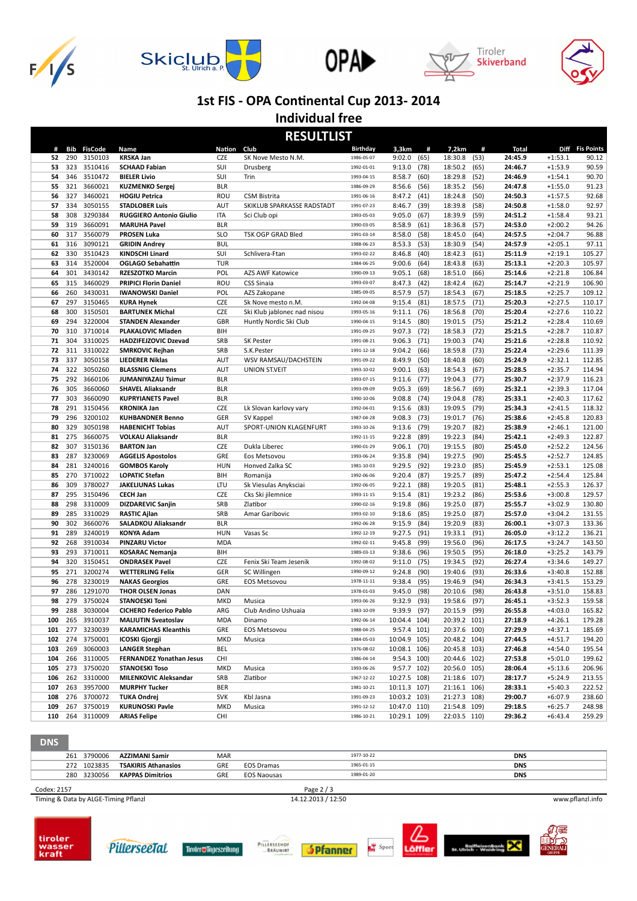









# 1st FIS - OPA Continental Cup 2013-2014

**Individual free**

| <b>RESULTLIST</b> |     |                 |                                 |            |                             |            |                |              |      |              |           |                   |
|-------------------|-----|-----------------|---------------------------------|------------|-----------------------------|------------|----------------|--------------|------|--------------|-----------|-------------------|
| #                 | Bib | <b>FisCode</b>  | Name                            | Nation     | Club                        | Birthday   | 3,3km<br>#     | 7,2km        | #    | <b>Total</b> | Diff      | <b>Fis Points</b> |
| 52                | 290 | 3150103         | <b>KRSKA Jan</b>                | <b>CZE</b> | SK Nove Mesto N.M.          | 1986-05-07 | 9:02.0<br>(65) | 18:30.8      | (53) | 24:45.9      | $+1:53.1$ | 90.12             |
| 53                | 323 | 3510416         | <b>SCHAAD Fabian</b>            | SUI        | Drusberg                    | 1992-01-01 | 9:13.0<br>(78) | 18:50.2      | (65) | 24:46.7      | $+1:53.9$ | 90.59             |
| 54                | 346 | 3510472         | <b>BIELER Livio</b>             | SUI        | Trin                        | 1993-04-15 | 8:58.7<br>(60) | 18:29.8      | (52) | 24:46.9      | $+1:54.1$ | 90.70             |
| 55                | 321 | 3660021         | <b>KUZMENKO Sergej</b>          | <b>BLR</b> |                             | 1986-09-29 | 8:56.6<br>(56) | 18:35.2      | (56) | 24:47.8      | $+1:55.0$ | 91.23             |
| 56                | 327 | 3460021         | <b>HOGIU Petrica</b>            | ROU        | <b>CSM Bistrita</b>         | 1991-06-16 | 8:47.2<br>(41) | 18:24.8      | (50) | 24:50.3      | $+1:57.5$ | 92.68             |
| 57                | 334 | 3050155         | <b>STADLOBER Luis</b>           | AUT        | SKIKLUB SPARKASSE RADSTADT  | 1991-07-23 | (39)<br>8:46.7 | 18:39.8      | (58) | 24:50.8      | $+1:58.0$ | 92.97             |
| 58                | 308 | 3290384         | <b>RUGGIERO Antonio Giulio</b>  | <b>ITA</b> | Sci Club opi                | 1993-05-03 | 9:05.0<br>(67) | 18:39.9      | (59) | 24:51.2      | $+1:58.4$ | 93.21             |
| 59                | 319 | 3660091         | <b>MARUHA Pavel</b>             | <b>BLR</b> |                             | 1990-03-05 | 8:58.9<br>(61) | 18:36.8      | (57) | 24:53.0      | $+2:00.2$ | 94.26             |
| 60                | 317 | 3560079         | <b>PROSEN Luka</b>              | <b>SLO</b> | TSK OGP GRAD Bled           | 1991-03-14 | 8:58.0<br>(58) | 18:45.0      | (64) | 24:57.5      | $+2:04.7$ | 96.88             |
| 61                | 316 | 3090121         | <b>GRIDIN Andrey</b>            | <b>BUL</b> |                             | 1988-06-23 | (53)<br>8:53.3 | 18:30.9      | (54) | 24:57.9      | $+2:05.1$ | 97.11             |
| 62                | 330 | 3510423         | <b>KINDSCHI Linard</b>          | SUI        | Schlivera-Ftan              | 1993-02-22 | 8:46.8<br>(40) | 18:42.3      | (61) | 25:11.9      | $+2:19.1$ | 105.27            |
| 63                | 314 | 3520004         | <b>OGLAGO Sebahattin</b>        | <b>TUR</b> |                             | 1984-06-25 | 9:00.6<br>(64) | 18:43.8      | (63) | 25:13.1      | $+2:20.3$ | 105.97            |
| 64                | 301 | 3430142         | <b>RZESZOTKO Marcin</b>         | POL        | AZS AWF Katowice            | 1990-09-13 | 9:05.1<br>(68) | 18:51.0      | (66) | 25:14.6      | $+2:21.8$ | 106.84            |
| 65                | 315 | 3460029         | <b>PRIPICI Florin Daniel</b>    | ROU        | CSS Sinaia                  | 1993-03-07 | 8:47.3<br>(42) | 18:42.4      | (62) | 25:14.7      | $+2:21.9$ | 106.90            |
| 66                | 260 | 3430031         | <b>IWANOWSKI Daniel</b>         | POL        | AZS Zakopane                | 1985-09-05 | 8:57.9<br>(57) | 18:54.3      | (67) | 25:18.5      | $+2:25.7$ | 109.12            |
| 67                | 297 | 3150465         | <b>KURA Hynek</b>               | <b>CZE</b> | Sk Nove mesto n.M.          | 1992-04-08 | (81)<br>9:15.4 | 18:57.5      | (71) | 25:20.3      | $+2:27.5$ | 110.17            |
| 68                | 300 | 3150501         | <b>BARTUNEK Michal</b>          | <b>CZE</b> | Ski Klub jablonec nad nisou | 1993-05-16 | (76)<br>9:11.1 | 18:56.8      | (70) | 25:20.4      | $+2:27.6$ | 110.22            |
| 69                | 294 | 3220004         | <b>STANDEN Alexander</b>        | GBR        | Huntly Nordic Ski Club      | 1990-04-15 | (80)<br>9:14.5 | 19:01.5      | (75) | 25:21.2      | $+2:28.4$ | 110.69            |
| 70                | 310 | 3710014         | <b>PLAKALOVIC Mladen</b>        | BIH        |                             | 1991-09-25 | 9:07.3<br>(72) | 18:58.3      | (72) | 25:21.5      | $+2:28.7$ | 110.87            |
| 71                | 304 | 3310025         | HADZIFEJZOVIC Dzevad            | SRB        | <b>SK Pester</b>            | 1991-08-21 | (71)<br>9:06.3 | 19:00.3      | (74) | 25:21.6      | $+2:28.8$ | 110.92            |
| 72                | 311 | 3310022         | <b>SMRKOVIC Rejhan</b>          | SRB        | S.K.Pester                  | 1991-12-18 | 9:04.2<br>(66) | 18:59.8      | (73) | 25:22.4      | $+2:29.6$ | 111.39            |
| 73                | 337 | 3050158         | <b>LIEDERER Niklas</b>          | AUT        | WSV RAMSAU/DACHSTEIN        | 1991-09-22 | (50)<br>8:49.9 | 18:40.8      | (60) | 25:24.9      | $+2:32.1$ | 112.85            |
| 74                | 322 | 3050260         | <b>BLASSNIG Clemens</b>         | AUT        | UNION ST.VEIT               | 1993-10-02 | 9:00.1<br>(63) | 18:54.3      | (67) | 25:28.5      | $+2:35.7$ | 114.94            |
| 75                | 292 | 3660106         | <b>JUMANIYAZAU Tsimur</b>       | <b>BLR</b> |                             | 1993-07-15 | (77)<br>9:11.6 | 19:04.3      | (77) | 25:30.7      | $+2:37.9$ | 116.23            |
| 76                | 305 | 3660060         | <b>SHAVEL Aliaksandr</b>        | <b>BLR</b> |                             | 1993-09-09 | 9:05.3<br>(69) | 18:56.7      | (69) | 25:32.1      | $+2:39.3$ | 117.04            |
| 77                | 303 | 3660090         | <b>KUPRYIANETS Pavel</b>        | <b>BLR</b> |                             | 1990-10-06 | 9:08.8<br>(74) | 19:04.8      | (78) | 25:33.1      | $+2:40.3$ | 117.62            |
| 78                | 291 | 3150456         | <b>KRONIKA Jan</b>              | <b>CZE</b> | Lk Slovan karlovy vary      | 1992-04-01 | 9:15.6<br>(83) | 19:09.5      | (79) | 25:34.3      | $+2:41.5$ | 118.32            |
| 79                | 296 | 3200102         | <b>KUHBANDNER Benno</b>         | GER        | SV Kappel                   | 1987-04-28 | (73)<br>9:08.3 | 19:01.7      | (76) | 25:38.6      | $+2:45.8$ | 120.83            |
| 80                | 329 | 3050198         | <b>HABENICHT Tobias</b>         | AUT        | SPORT-UNION KLAGENFURT      | 1993-10-26 | 9:13.6<br>(79) | 19:20.7      | (82) | 25:38.9      | $+2:46.1$ | 121.00            |
| 81                | 275 | 3660075         | <b>VOLKAU Aliaksandr</b>        | <b>BLR</b> |                             | 1992-11-15 | (89)<br>9:22.8 | 19:22.3      | (84) | 25:42.1      | $+2:49.3$ | 122.87            |
| 82                | 307 | 3150136         | <b>BARTON Jan</b>               | <b>CZE</b> | Dukla Liberec               | 1990-01-29 | 9:06.1<br>(70) | 19:15.5      | (80) | 25:45.0      | $+2:52.2$ | 124.56            |
| 83                | 287 | 3230069         | <b>AGGELIS Apostolos</b>        | GRE        | Eos Metsovou                | 1993-06-24 | (94)<br>9:35.8 | 19:27.5      | (90) | 25:45.5      | $+2:52.7$ | 124.85            |
| 84                | 281 | 3240016         | <b>GOMBOS Karoly</b>            | <b>HUN</b> | Honved Zalka SC             | 1981-10-03 | 9:29.5<br>(92) | 19:23.0      | (85) | 25:45.9      | $+2:53.1$ | 125.08            |
| 85                | 270 | 3710022         | <b>LOPATIC Stefan</b>           | BIH        | Romanija                    | 1992-06-06 | (87)<br>9:20.4 | 19:25.7      | (89) | 25:47.2      | $+2:54.4$ | 125.84            |
| 86                | 309 | 3780027         | <b>JAKELIUNAS Lukas</b>         | LTU        | Sk Viesulas Anyksciai       | 1992-06-05 | 9:22.1<br>(88) | 19:20.5      | (81) | 25:48.1      | $+2:55.3$ | 126.37            |
| 87                | 295 | 3150496         | <b>CECH Jan</b>                 | <b>CZE</b> | Cks Ski jilemnice           | 1993-11-15 | (81)<br>9:15.4 | 19:23.2      | (86) | 25:53.6      | $+3:00.8$ | 129.57            |
| 88                | 298 | 3310009         | <b>DIZDAREVIC Sanjin</b>        | SRB        | Zlatibor                    | 1990-02-16 | 9:19.8<br>(86) | 19:25.0      | (87) | 25:55.7      | $+3:02.9$ | 130.80            |
| 89                | 285 | 3310029         | <b>RASTIC Ajlan</b>             | SRB        | Amar Garibovic              | 1993-02-10 | 9:18.6<br>(85) | 19:25.0      | (87) | 25:57.0      | $+3:04.2$ | 131.55            |
| 90                | 302 | 3660076         | <b>SALADKOU Aliaksandr</b>      | <b>BLR</b> |                             | 1992-06-28 | 9:15.9<br>(84) | 19:20.9      | (83) | 26:00.1      | $+3:07.3$ | 133.36            |
| 91                | 289 | 3240019         | <b>KONYA Adam</b>               | HUN        | Vasas Sc                    | 1992-12-19 | 9:27.5<br>(91) | 19:33.1      | (91) | 26:05.0      | $+3:12.2$ | 136.21            |
| 92                | 268 | 3910034         | PINZARU Victor                  | <b>MDA</b> |                             | 1992-02-11 | 9:45.8<br>(99) | 19:56.0      | (96) | 26:17.5      | $+3:24.7$ | 143.50            |
| 93                | 293 | 3710011         | <b>KOSARAC Nemanja</b>          | BIH        |                             | 1989-03-13 | (96)<br>9:38.6 | 19:50.5      | (95) | 26:18.0      | $+3:25.2$ | 143.79            |
| 94                | 320 | 3150451         | <b>ONDRASEK Pavel</b>           | <b>CZE</b> | Fenix Ski Team Jesenik      | 1992-08-02 | (75)<br>9:11.0 | 19:34.5      | (92) | 26:27.4      | $+3:34.6$ | 149.27            |
| 95                | 271 | 3200274         | <b>WETTERLING Felix</b>         | GER        | SC Willingen                | 1990-09-12 | (90)<br>9:24.8 | 19:40.6      | (93) | 26:33.6      | $+3:40.8$ | 152.88            |
| 96                | 278 | 3230019         | <b>NAKAS Georgios</b>           | GRE        | <b>EOS Metsovou</b>         | 1978-11-11 | (95)<br>9:38.4 | 19:46.9      | (94) | 26:34.3      | $+3:41.5$ | 153.29            |
| 97                | 286 | 1291070         | <b>THOR OLSEN Jonas</b>         | DAN        |                             | 1978-01-03 | (98)<br>9:45.0 | 20:10.6      | (98) | 26:43.8      | $+3:51.0$ | 158.83            |
| 98                | 279 | 3750024         | <b>STANOESKI Toni</b>           | <b>MKD</b> | Musica                      | 1993-06-26 | (93)<br>9:32.9 | 19:58.6      | (97) | 26:45.1      | $+3:52.3$ | 159.58            |
|                   |     | 99 288 3030004  | <b>CICHERO Federico Pablo</b>   | ARG        | Club Andino Ushuaia         | 1983-10-09 | 9:39.9 (97)    | 20:15.9 (99) |      | 26:55.8      | $+4:03.0$ | 165.82            |
|                   |     | 100 265 3910037 | <b>MALIUTIN Sveatoslav</b>      | MDA        | Dinamo                      | 1992-06-14 | 10:04.4 104)   | 20:39.2 101) |      | 27:18.9      | +4:26.1   | 179.28            |
| 101               |     | 277 3230039     | <b>KARAMICHAS Kleanthis</b>     | GRE        | EOS Metsovou                | 1988-04-25 | 9:57.4 101)    | 20:37.6 100) |      | 27:29.9      | $+4:37.1$ | 185.69            |
| 102               | 274 | 3750001         | <b>ICOSKI Gjorgji</b>           | <b>MKD</b> | Musica                      | 1984-05-03 | 10:04.9 105)   | 20:48.2 104) |      | 27:44.5      | $+4:51.7$ | 194.20            |
| 103               | 269 | 3060003         | <b>LANGER Stephan</b>           | BEL        |                             | 1976-08-02 | 10:08.1 106)   | 20:45.8 103) |      | 27:46.8      | $+4:54.0$ | 195.54            |
| 104               | 266 | 3110005         | <b>FERNANDEZ Yonathan Jesus</b> | <b>CHI</b> |                             | 1986-04-14 | 9:54.3 100)    | 20:44.6 102) |      | 27:53.8      | $+5:01.0$ | 199.62            |
| 105               |     | 273 3750020     | <b>STANOESKI Toso</b>           | <b>MKD</b> | Musica                      | 1993-06-26 | 9:57.7 102)    | 20:56.0 105) |      | 28:06.4      | $+5:13.6$ | 206.96            |
| 106               | 262 | 3310000         | <b>MILENKOVIC Aleksandar</b>    | SRB        | Zlatibor                    | 1967-12-22 | 10:27.5 108)   | 21:18.6 107) |      | 28:17.7      | $+5:24.9$ | 213.55            |
| 107               | 263 | 3957000         | <b>MURPHY Tucker</b>            | <b>BER</b> |                             | 1981-10-21 | 10:11.3 107)   | 21:16.1 106) |      | 28:33.1      | $+5:40.3$ | 222.52            |
| 108               | 276 | 3700072         | <b>TUKA Ondrej</b>              | <b>SVK</b> | Kbl Jasna                   | 1991-09-23 | 10:03.2 103)   | 21:27.3 108) |      | 29:00.7      | $+6:07.9$ | 238.60            |
| 109               | 267 | 3750019         | KURUNOSKI Pavle                 | <b>MKD</b> | Musica                      | 1991-12-12 | 10:47.0 110)   | 21:54.8 109) |      | 29:18.5      | $+6:25.7$ | 248.98            |
| 110               |     | 264 3110009     | <b>ARIAS Felipe</b>             | <b>CHI</b> |                             | 1986-10-21 | 10:29.1 109)   | 22:03.5 110) |      | 29:36.2      | $+6:43.4$ | 259.29            |

#### **DNS**

| 261 | 3790006 | <b>AZZIMANI Samir</b>      | <b>MAR</b> |                    | 1977-10-22 | <b>DNS</b> |
|-----|---------|----------------------------|------------|--------------------|------------|------------|
| 272 | 1023835 | <b>TSAKIRIS Athanasios</b> | GRE        | <b>EOS Dramas</b>  | 1965-01-15 | <b>DNS</b> |
| 280 | 3230056 | <b>KAPPAS Dimitrios</b>    | GRE        | <b>EOS Naousas</b> | 1989-01-20 | <b>DNS</b> |
|     |         |                            |            |                    |            |            |

Codex: 2157 Page 2 / 3

Timing & Data by ALGE-Timing Pflanzl 14.12.14.12.2013 / 12:50 www.pflanzl.info